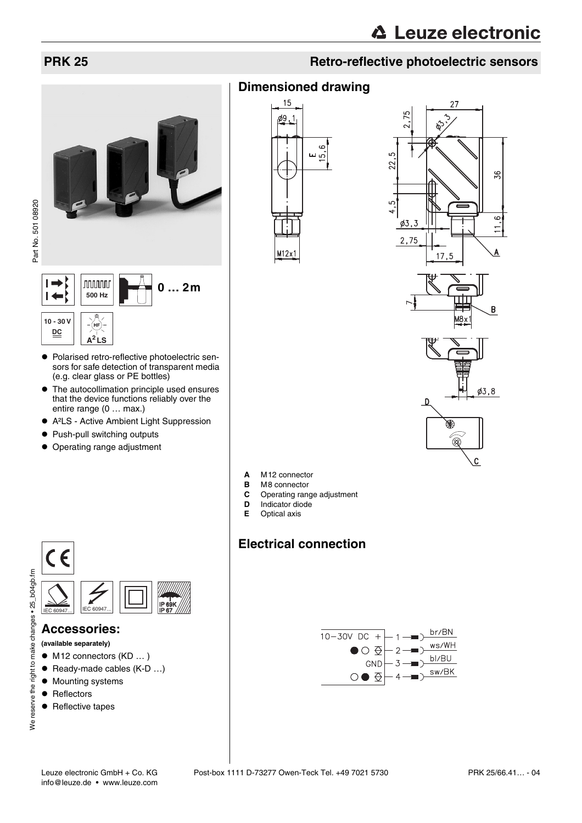27

## **PRK 25 Retro-reflective photoelectric sensors**

**preliminary data sheet** Part No. 501 08920

Part No. 501 08920







- $\bullet$  Polarised retro-reflective photoelectric sensors for safe detection of transparent media (e.g. clear glass or PE bottles)
- $\bullet$  The autocollimation principle used ensures that the device functions reliably over the entire range (0 … max.)
- A<sup>2</sup>LS Active Ambient Light Suppression
- Push-pull switching outputs
- Operating range adjustment



**Dimensioned drawing**

15

ø9, - 1





⊗

 $\mathbf c$ 



- 
- **B** M8 connector<br>**C** Operating range **C** Operating range adjustment
- 
- **D** Indicator diode<br>**E** Optical axis **E** Optical axis

## **Electrical connection**





#### **Accessories:**

- **(available separately)**
- $\bullet$  M12 connectors (KD  $\dots$ )
- $\bullet$  Ready-made cables (K-D ...)
- Mounting systems
- $\bullet$  Reflectors
- Reflective tapes